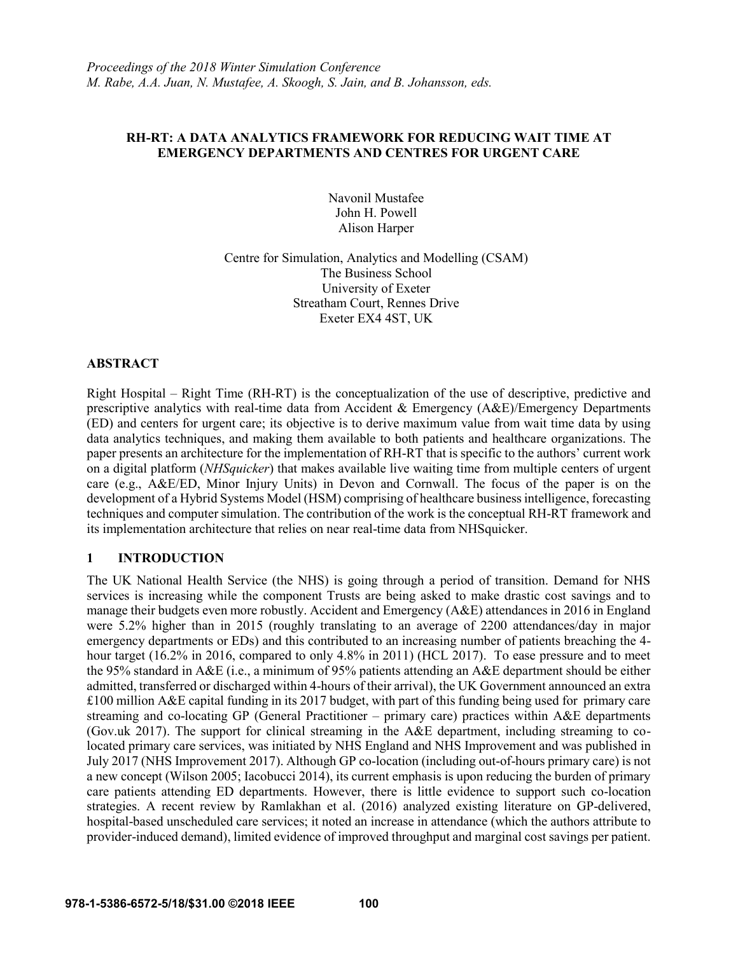### **RH-RT: A DATA ANALYTICS FRAMEWORK FOR REDUCING WAIT TIME AT EMERGENCY DEPARTMENTS AND CENTRES FOR URGENT CARE**

Navonil Mustafee John H. Powell Alison Harper

Centre for Simulation, Analytics and Modelling (CSAM) The Business School University of Exeter Streatham Court, Rennes Drive Exeter EX4 4ST, UK

### **ABSTRACT**

Right Hospital – Right Time (RH-RT) is the conceptualization of the use of descriptive, predictive and prescriptive analytics with real-time data from Accident & Emergency (A&E)/Emergency Departments (ED) and centers for urgent care; its objective is to derive maximum value from wait time data by using data analytics techniques, and making them available to both patients and healthcare organizations. The paper presents an architecture for the implementation of RH-RT that is specific to the authors' current work on a digital platform (*NHSquicker*) that makes available live waiting time from multiple centers of urgent care (e.g., A&E/ED, Minor Injury Units) in Devon and Cornwall. The focus of the paper is on the development of a Hybrid Systems Model (HSM) comprising of healthcare business intelligence, forecasting techniques and computer simulation. The contribution of the work is the conceptual RH-RT framework and its implementation architecture that relies on near real-time data from NHSquicker.

# **1 INTRODUCTION**

The UK National Health Service (the NHS) is going through a period of transition. Demand for NHS services is increasing while the component Trusts are being asked to make drastic cost savings and to manage their budgets even more robustly. Accident and Emergency (A&E) attendances in 2016 in England were 5.2% higher than in 2015 (roughly translating to an average of 2200 attendances/day in major emergency departments or EDs) and this contributed to an increasing number of patients breaching the 4 hour target (16.2% in 2016, compared to only 4.8% in 2011) (HCL 2017). To ease pressure and to meet the 95% standard in A&E (i.e., a minimum of 95% patients attending an A&E department should be either admitted, transferred or discharged within 4-hours of their arrival), the UK Government announced an extra £100 million A&E capital funding in its 2017 budget, with part of this funding being used for primary care streaming and co-locating GP (General Practitioner – primary care) practices within A&E departments (Gov.uk 2017). The support for clinical streaming in the A&E department, including streaming to colocated primary care services, was initiated by NHS England and NHS Improvement and was published in July 2017 (NHS Improvement 2017). Although GP co-location (including out-of-hours primary care) is not a new concept (Wilson 2005; Iacobucci 2014), its current emphasis is upon reducing the burden of primary care patients attending ED departments. However, there is little evidence to support such co-location strategies. A recent review by Ramlakhan et al. (2016) analyzed existing literature on GP-delivered, hospital-based unscheduled care services; it noted an increase in attendance (which the authors attribute to provider-induced demand), limited evidence of improved throughput and marginal cost savings per patient.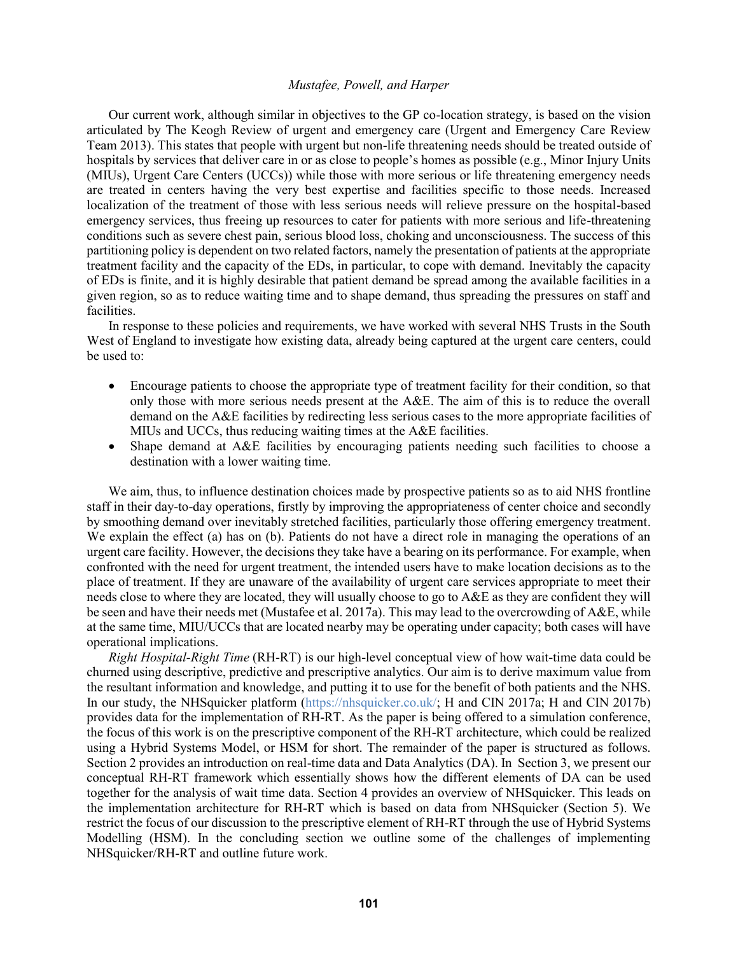Our current work, although similar in objectives to the GP co-location strategy, is based on the vision articulated by The Keogh Review of urgent and emergency care (Urgent and Emergency Care Review Team 2013). This states that people with urgent but non-life threatening needs should be treated outside of hospitals by services that deliver care in or as close to people's homes as possible (e.g., Minor Injury Units (MIUs), Urgent Care Centers (UCCs)) while those with more serious or life threatening emergency needs are treated in centers having the very best expertise and facilities specific to those needs. Increased localization of the treatment of those with less serious needs will relieve pressure on the hospital-based emergency services, thus freeing up resources to cater for patients with more serious and life-threatening conditions such as severe chest pain, serious blood loss, choking and unconsciousness. The success of this partitioning policy is dependent on two related factors, namely the presentation of patients at the appropriate treatment facility and the capacity of the EDs, in particular, to cope with demand. Inevitably the capacity of EDs is finite, and it is highly desirable that patient demand be spread among the available facilities in a given region, so as to reduce waiting time and to shape demand, thus spreading the pressures on staff and facilities.

In response to these policies and requirements, we have worked with several NHS Trusts in the South West of England to investigate how existing data, already being captured at the urgent care centers, could be used to:

- Encourage patients to choose the appropriate type of treatment facility for their condition, so that only those with more serious needs present at the A&E. The aim of this is to reduce the overall demand on the A&E facilities by redirecting less serious cases to the more appropriate facilities of MIUs and UCCs, thus reducing waiting times at the A&E facilities.
- Shape demand at A&E facilities by encouraging patients needing such facilities to choose a destination with a lower waiting time.

We aim, thus, to influence destination choices made by prospective patients so as to aid NHS frontline staff in their day-to-day operations, firstly by improving the appropriateness of center choice and secondly by smoothing demand over inevitably stretched facilities, particularly those offering emergency treatment. We explain the effect (a) has on (b). Patients do not have a direct role in managing the operations of an urgent care facility. However, the decisions they take have a bearing on its performance. For example, when confronted with the need for urgent treatment, the intended users have to make location decisions as to the place of treatment. If they are unaware of the availability of urgent care services appropriate to meet their needs close to where they are located, they will usually choose to go to A&E as they are confident they will be seen and have their needs met (Mustafee et al. 2017a). This may lead to the overcrowding of A&E, while at the same time, MIU/UCCs that are located nearby may be operating under capacity; both cases will have operational implications.

*Right Hospital-Right Time* (RH-RT) is our high-level conceptual view of how wait-time data could be churned using descriptive, predictive and prescriptive analytics. Our aim is to derive maximum value from the resultant information and knowledge, and putting it to use for the benefit of both patients and the NHS. In our study, the NHSquicker platform (https://nhsquicker.co.uk/; H and CIN 2017a; H and CIN 2017b) provides data for the implementation of RH-RT. As the paper is being offered to a simulation conference, the focus of this work is on the prescriptive component of the RH-RT architecture, which could be realized using a Hybrid Systems Model, or HSM for short. The remainder of the paper is structured as follows. Section 2 provides an introduction on real-time data and Data Analytics (DA). In Section 3, we present our conceptual RH-RT framework which essentially shows how the different elements of DA can be used together for the analysis of wait time data. Section 4 provides an overview of NHSquicker. This leads on the implementation architecture for RH-RT which is based on data from NHSquicker (Section 5). We restrict the focus of our discussion to the prescriptive element of RH-RT through the use of Hybrid Systems Modelling (HSM). In the concluding section we outline some of the challenges of implementing NHSquicker/RH-RT and outline future work.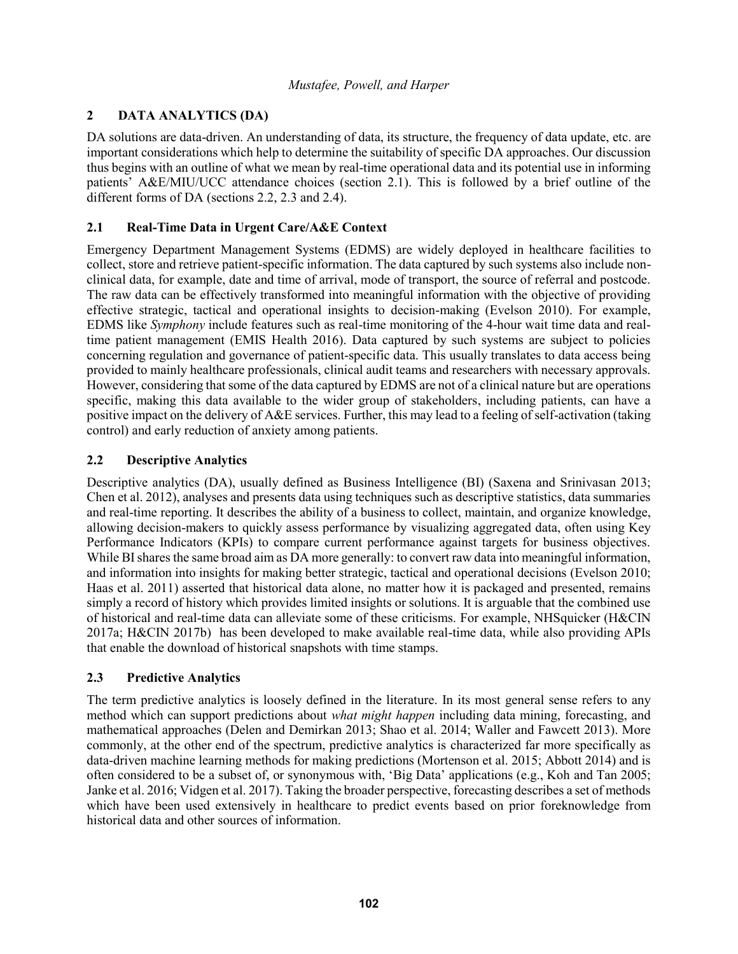# **2 DATA ANALYTICS (DA)**

DA solutions are data-driven. An understanding of data, its structure, the frequency of data update, etc. are important considerations which help to determine the suitability of specific DA approaches. Our discussion thus begins with an outline of what we mean by real-time operational data and its potential use in informing patients' A&E/MIU/UCC attendance choices (section 2.1). This is followed by a brief outline of the different forms of DA (sections 2.2, 2.3 and 2.4).

# **2.1 Real-Time Data in Urgent Care/A&E Context**

Emergency Department Management Systems (EDMS) are widely deployed in healthcare facilities to collect, store and retrieve patient-specific information. The data captured by such systems also include nonclinical data, for example, date and time of arrival, mode of transport, the source of referral and postcode. The raw data can be effectively transformed into meaningful information with the objective of providing effective strategic, tactical and operational insights to decision-making (Evelson 2010). For example, EDMS like *Symphony* include features such as real-time monitoring of the 4-hour wait time data and realtime patient management (EMIS Health 2016). Data captured by such systems are subject to policies concerning regulation and governance of patient-specific data. This usually translates to data access being provided to mainly healthcare professionals, clinical audit teams and researchers with necessary approvals. However, considering that some of the data captured by EDMS are not of a clinical nature but are operations specific, making this data available to the wider group of stakeholders, including patients, can have a positive impact on the delivery of A&E services. Further, this may lead to a feeling of self-activation (taking control) and early reduction of anxiety among patients.

# **2.2 Descriptive Analytics**

Descriptive analytics (DA), usually defined as Business Intelligence (BI) (Saxena and Srinivasan 2013; Chen et al. 2012), analyses and presents data using techniques such as descriptive statistics, data summaries and real-time reporting. It describes the ability of a business to collect, maintain, and organize knowledge, allowing decision-makers to quickly assess performance by visualizing aggregated data, often using Key Performance Indicators (KPIs) to compare current performance against targets for business objectives. While BI shares the same broad aim as DA more generally: to convert raw data into meaningful information, and information into insights for making better strategic, tactical and operational decisions (Evelson 2010; Haas et al. 2011) asserted that historical data alone, no matter how it is packaged and presented, remains simply a record of history which provides limited insights or solutions. It is arguable that the combined use of historical and real-time data can alleviate some of these criticisms. For example, NHSquicker (H&CIN 2017a; H&CIN 2017b) has been developed to make available real-time data, while also providing APIs that enable the download of historical snapshots with time stamps.

# **2.3 Predictive Analytics**

The term predictive analytics is loosely defined in the literature. In its most general sense refers to any method which can support predictions about *what might happen* including data mining, forecasting, and mathematical approaches (Delen and Demirkan 2013; Shao et al. 2014; Waller and Fawcett 2013). More commonly, at the other end of the spectrum, predictive analytics is characterized far more specifically as data-driven machine learning methods for making predictions (Mortenson et al. 2015; Abbott 2014) and is often considered to be a subset of, or synonymous with, 'Big Data' applications (e.g., Koh and Tan 2005; Janke et al. 2016; Vidgen et al. 2017). Taking the broader perspective, forecasting describes a set of methods which have been used extensively in healthcare to predict events based on prior foreknowledge from historical data and other sources of information.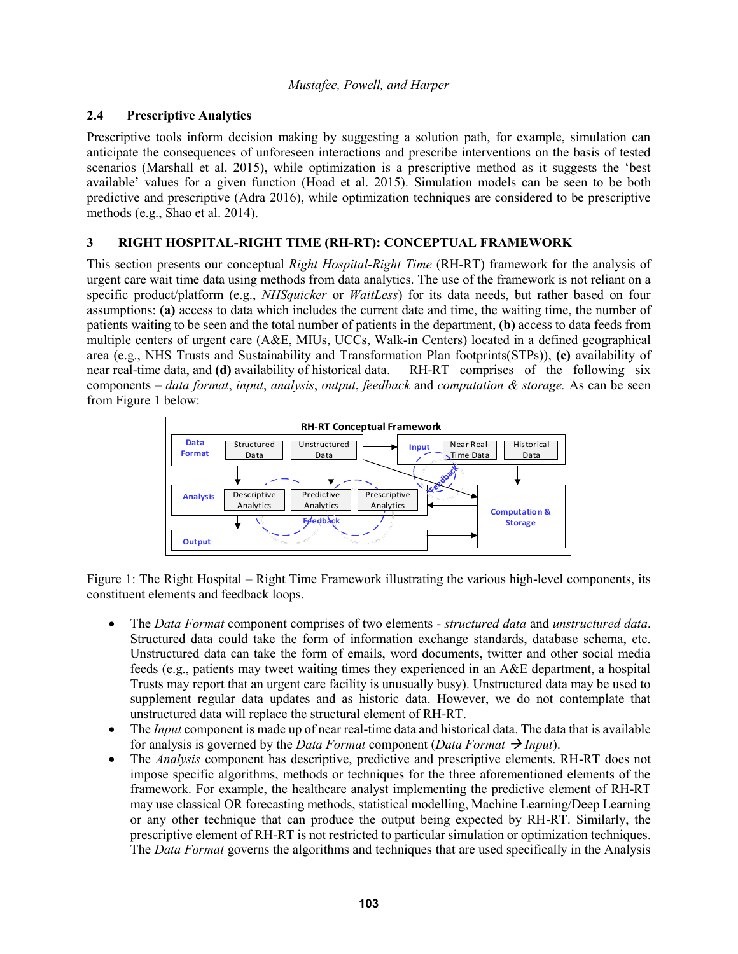# **2.4 Prescriptive Analytics**

Prescriptive tools inform decision making by suggesting a solution path, for example, simulation can anticipate the consequences of unforeseen interactions and prescribe interventions on the basis of tested scenarios (Marshall et al. 2015), while optimization is a prescriptive method as it suggests the 'best available' values for a given function (Hoad et al. 2015). Simulation models can be seen to be both predictive and prescriptive (Adra 2016), while optimization techniques are considered to be prescriptive methods (e.g., Shao et al. 2014).

### **3 RIGHT HOSPITAL-RIGHT TIME (RH-RT): CONCEPTUAL FRAMEWORK**

This section presents our conceptual *Right Hospital-Right Time* (RH-RT) framework for the analysis of urgent care wait time data using methods from data analytics. The use of the framework is not reliant on a specific product/platform (e.g., *NHSquicker* or *WaitLess*) for its data needs, but rather based on four assumptions: **(a)** access to data which includes the current date and time, the waiting time, the number of patients waiting to be seen and the total number of patients in the department, **(b)** access to data feeds from multiple centers of urgent care (A&E, MIUs, UCCs, Walk-in Centers) located in a defined geographical area (e.g., NHS Trusts and Sustainability and Transformation Plan footprints(STPs)), **(c)** availability of near real-time data, and **(d)** availability of historical data. RH-RT comprises of the following six components – *data format*, *input*, *analysis*, *output*, *feedback* and *computation & storage.* As can be seen from Figure 1 below:



Figure 1: The Right Hospital – Right Time Framework illustrating the various high-level components, its constituent elements and feedback loops.

- The *Data Format* component comprises of two elements *structured data* and *unstructured data*. Structured data could take the form of information exchange standards, database schema, etc. Unstructured data can take the form of emails, word documents, twitter and other social media feeds (e.g., patients may tweet waiting times they experienced in an A&E department, a hospital Trusts may report that an urgent care facility is unusually busy). Unstructured data may be used to supplement regular data updates and as historic data. However, we do not contemplate that unstructured data will replace the structural element of RH-RT.
- The *Input* component is made up of near real-time data and historical data. The data that is available for analysis is governed by the *Data Format* component (*Data Format*  $\rightarrow$  *Input*).
- The *Analysis* component has descriptive, predictive and prescriptive elements. RH-RT does not impose specific algorithms, methods or techniques for the three aforementioned elements of the framework. For example, the healthcare analyst implementing the predictive element of RH-RT may use classical OR forecasting methods, statistical modelling, Machine Learning/Deep Learning or any other technique that can produce the output being expected by RH-RT. Similarly, the prescriptive element of RH-RT is not restricted to particular simulation or optimization techniques. The *Data Format* governs the algorithms and techniques that are used specifically in the Analysis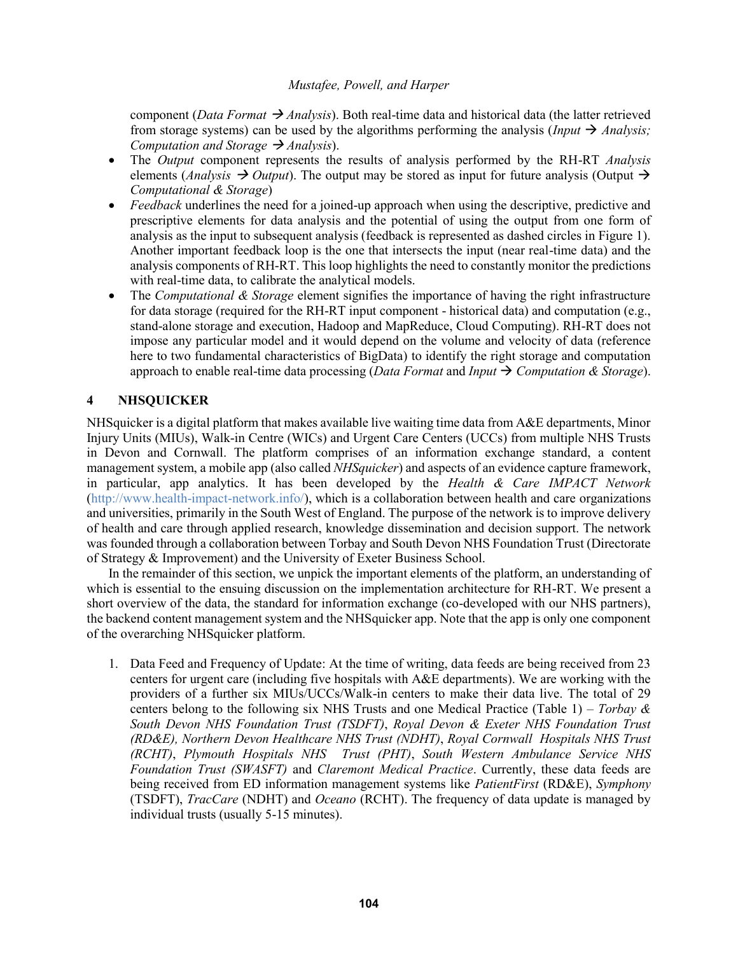component (*Data Format*  $\rightarrow$  *Analysis*). Both real-time data and historical data (the latter retrieved from storage systems) can be used by the algorithms performing the analysis (*Input*  $\rightarrow$  *Analysis*; *Computation and Storage*  $\rightarrow$  *Analysis*).

- The *Output* component represents the results of analysis performed by the RH-RT *Analysis* elements (*Analysis*  $\rightarrow$  *Output*). The output may be stored as input for future analysis (Output  $\rightarrow$ *Computational & Storage*)
- *Feedback* underlines the need for a joined-up approach when using the descriptive, predictive and prescriptive elements for data analysis and the potential of using the output from one form of analysis as the input to subsequent analysis (feedback is represented as dashed circles in Figure 1). Another important feedback loop is the one that intersects the input (near real-time data) and the analysis components of RH-RT. This loop highlights the need to constantly monitor the predictions with real-time data, to calibrate the analytical models.
- The *Computational & Storage* element signifies the importance of having the right infrastructure for data storage (required for the RH-RT input component - historical data) and computation (e.g., stand-alone storage and execution, Hadoop and MapReduce, Cloud Computing). RH-RT does not impose any particular model and it would depend on the volume and velocity of data (reference here to two fundamental characteristics of BigData) to identify the right storage and computation approach to enable real-time data processing (*Data Format* and *Input* → *Computation & Storage*).

# **4 NHSQUICKER**

NHSquicker is a digital platform that makes available live waiting time data from A&E departments, Minor Injury Units (MIUs), Walk-in Centre (WICs) and Urgent Care Centers (UCCs) from multiple NHS Trusts in Devon and Cornwall. The platform comprises of an information exchange standard, a content management system, a mobile app (also called *NHSquicker*) and aspects of an evidence capture framework, in particular, app analytics. It has been developed by the *Health & Care IMPACT Network* (http://www.health-impact-network.info/), which is a collaboration between health and care organizations and universities, primarily in the South West of England. The purpose of the network is to improve delivery of health and care through applied research, knowledge dissemination and decision support. The network was founded through a collaboration between Torbay and South Devon NHS Foundation Trust (Directorate of Strategy & Improvement) and the University of Exeter Business School.

In the remainder of this section, we unpick the important elements of the platform, an understanding of which is essential to the ensuing discussion on the implementation architecture for RH-RT. We present a short overview of the data, the standard for information exchange (co-developed with our NHS partners), the backend content management system and the NHSquicker app. Note that the app is only one component of the overarching NHSquicker platform.

1. Data Feed and Frequency of Update: At the time of writing, data feeds are being received from 23 centers for urgent care (including five hospitals with A&E departments). We are working with the providers of a further six MIUs/UCCs/Walk-in centers to make their data live. The total of 29 centers belong to the following six NHS Trusts and one Medical Practice (Table 1) – *Torbay & South Devon NHS Foundation Trust (TSDFT)*, *Royal Devon & Exeter NHS Foundation Trust (RD&E), Northern Devon Healthcare NHS Trust (NDHT)*, *Royal Cornwall Hospitals NHS Trust (RCHT)*, *Plymouth Hospitals NHS Trust (PHT)*, *South Western Ambulance Service NHS Foundation Trust (SWASFT)* and *Claremont Medical Practice*. Currently, these data feeds are being received from ED information management systems like *PatientFirst* (RD&E), *Symphony* (TSDFT), *TracCare* (NDHT) and *Oceano* (RCHT). The frequency of data update is managed by individual trusts (usually 5-15 minutes).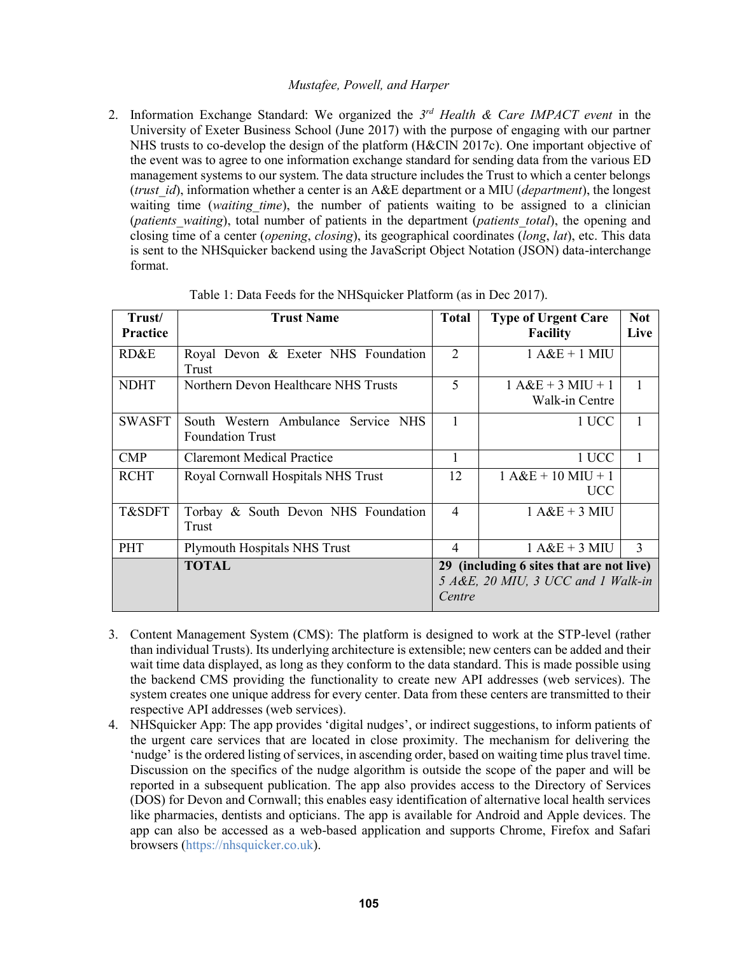2. Information Exchange Standard: We organized the *3 rd Health & Care IMPACT event* in the University of Exeter Business School (June 2017) with the purpose of engaging with our partner NHS trusts to co-develop the design of the platform (H&CIN 2017c). One important objective of the event was to agree to one information exchange standard for sending data from the various ED management systems to our system. The data structure includes the Trust to which a center belongs (*trust\_id*), information whether a center is an A&E department or a MIU (*department*), the longest waiting time (*waiting time*), the number of patients waiting to be assigned to a clinician (*patients\_waiting*), total number of patients in the department (*patients\_total*), the opening and closing time of a center (*opening*, *closing*), its geographical coordinates (*long*, *lat*), etc. This data is sent to the NHSquicker backend using the JavaScript Object Notation (JSON) data-interchange format.

| Trust/<br>Practice | <b>Trust Name</b>                                              | <b>Total</b>                                                                             | <b>Type of Urgent Care</b><br><b>Facility</b> | <b>Not</b><br>Live |  |
|--------------------|----------------------------------------------------------------|------------------------------------------------------------------------------------------|-----------------------------------------------|--------------------|--|
| RD&E               | Royal Devon & Exeter NHS Foundation<br>Trust                   | $\overline{2}$                                                                           | $1 A&B + 1 MIU$                               |                    |  |
| <b>NDHT</b>        | Northern Devon Healthcare NHS Trusts                           | 5                                                                                        | $1 A&E + 3 MIU + 1$<br>Walk-in Centre         |                    |  |
| <b>SWASFT</b>      | South Western Ambulance Service NHS<br><b>Foundation Trust</b> |                                                                                          | 1 UCC                                         |                    |  |
| <b>CMP</b>         | <b>Claremont Medical Practice</b>                              |                                                                                          | 1 UCC                                         | 1                  |  |
| <b>RCHT</b>        | Royal Cornwall Hospitals NHS Trust                             | 12                                                                                       | $1 A&E + 10 MIU + 1$<br><b>UCC</b>            |                    |  |
| T&SDFT             | Torbay & South Devon NHS Foundation<br>Trust                   | $\overline{4}$                                                                           | $1 A&E + 3 MII$                               |                    |  |
| <b>PHT</b>         | <b>Plymouth Hospitals NHS Trust</b>                            | $\overline{4}$                                                                           | $1 A&B + 3 MIU$                               | 3                  |  |
|                    | <b>TOTAL</b>                                                   | 29 (including 6 sites that are not live)<br>5 A&E, 20 MIU, 3 UCC and 1 Walk-in<br>Centre |                                               |                    |  |

Table 1: Data Feeds for the NHSquicker Platform (as in Dec 2017).

- 3. Content Management System (CMS): The platform is designed to work at the STP-level (rather than individual Trusts). Its underlying architecture is extensible; new centers can be added and their wait time data displayed, as long as they conform to the data standard. This is made possible using the backend CMS providing the functionality to create new API addresses (web services). The system creates one unique address for every center. Data from these centers are transmitted to their respective API addresses (web services).
- 4. NHSquicker App: The app provides 'digital nudges', or indirect suggestions, to inform patients of the urgent care services that are located in close proximity. The mechanism for delivering the 'nudge' is the ordered listing of services, in ascending order, based on waiting time plus travel time. Discussion on the specifics of the nudge algorithm is outside the scope of the paper and will be reported in a subsequent publication. The app also provides access to the Directory of Services (DOS) for Devon and Cornwall; this enables easy identification of alternative local health services like pharmacies, dentists and opticians. The app is available for Android and Apple devices. The app can also be accessed as a web-based application and supports Chrome, Firefox and Safari browsers (https://nhsquicker.co.uk).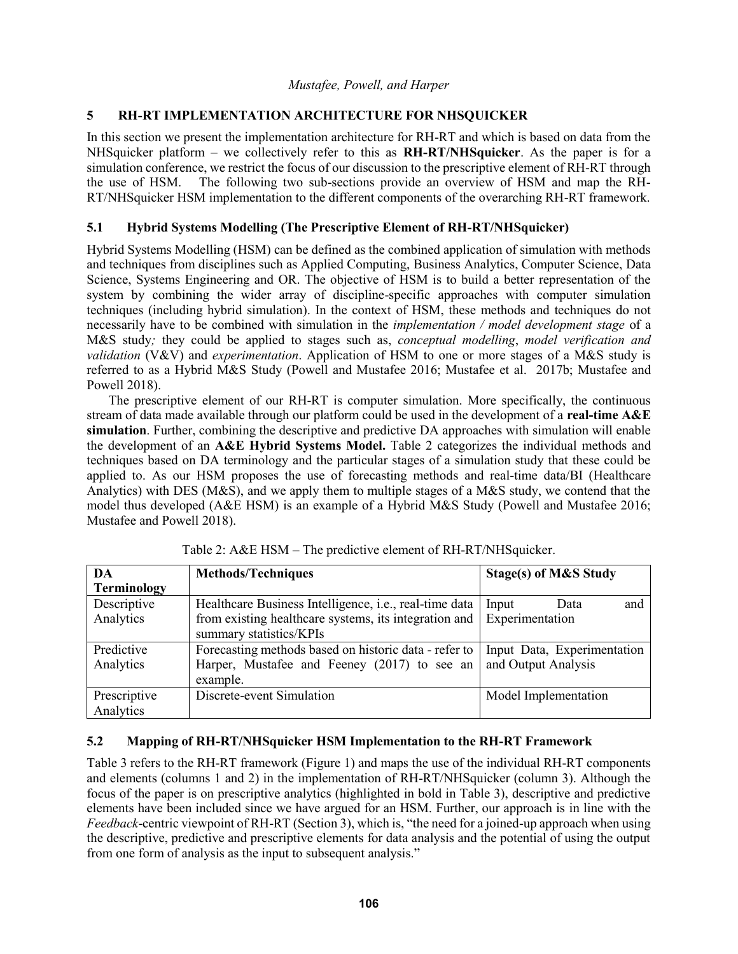# **5 RH-RT IMPLEMENTATION ARCHITECTURE FOR NHSQUICKER**

In this section we present the implementation architecture for RH-RT and which is based on data from the NHSquicker platform – we collectively refer to this as **RH-RT/NHSquicker**. As the paper is for a simulation conference, we restrict the focus of our discussion to the prescriptive element of RH-RT through the use of HSM. The following two sub-sections provide an overview of HSM and map the RH-RT/NHSquicker HSM implementation to the different components of the overarching RH-RT framework.

## **5.1 Hybrid Systems Modelling (The Prescriptive Element of RH-RT/NHSquicker)**

Hybrid Systems Modelling (HSM) can be defined as the combined application of simulation with methods and techniques from disciplines such as Applied Computing, Business Analytics, Computer Science, Data Science, Systems Engineering and OR. The objective of HSM is to build a better representation of the system by combining the wider array of discipline-specific approaches with computer simulation techniques (including hybrid simulation). In the context of HSM, these methods and techniques do not necessarily have to be combined with simulation in the *implementation / model development stage* of a M&S study*;* they could be applied to stages such as, *conceptual modelling*, *model verification and validation* (V&V) and *experimentation*. Application of HSM to one or more stages of a M&S study is referred to as a Hybrid M&S Study (Powell and Mustafee 2016; Mustafee et al. 2017b; Mustafee and Powell 2018).

The prescriptive element of our RH-RT is computer simulation. More specifically, the continuous stream of data made available through our platform could be used in the development of a **real-time A&E simulation**. Further, combining the descriptive and predictive DA approaches with simulation will enable the development of an **A&E Hybrid Systems Model.** Table 2 categorizes the individual methods and techniques based on DA terminology and the particular stages of a simulation study that these could be applied to. As our HSM proposes the use of forecasting methods and real-time data/BI (Healthcare Analytics) with DES (M&S), and we apply them to multiple stages of a M&S study, we contend that the model thus developed (A&E HSM) is an example of a Hybrid M&S Study (Powell and Mustafee 2016; Mustafee and Powell 2018).

| DA                 | <b>Methods/Techniques</b>                              | Stage(s) of M&S Study       |  |
|--------------------|--------------------------------------------------------|-----------------------------|--|
| <b>Terminology</b> |                                                        |                             |  |
| Descriptive        | Healthcare Business Intelligence, i.e., real-time data | Input<br>Data<br>and        |  |
| Analytics          | from existing healthcare systems, its integration and  | Experimentation             |  |
|                    | summary statistics/KPIs                                |                             |  |
| Predictive         | Forecasting methods based on historic data - refer to  | Input Data, Experimentation |  |
| Analytics          | Harper, Mustafee and Feeney (2017) to see an           | and Output Analysis         |  |
|                    | example.                                               |                             |  |
| Prescriptive       | Discrete-event Simulation                              | Model Implementation        |  |
| Analytics          |                                                        |                             |  |

Table 2: A&E HSM – The predictive element of RH-RT/NHSquicker.

# **5.2 Mapping of RH-RT/NHSquicker HSM Implementation to the RH-RT Framework**

Table 3 refers to the RH-RT framework (Figure 1) and maps the use of the individual RH-RT components and elements (columns 1 and 2) in the implementation of RH-RT/NHSquicker (column 3). Although the focus of the paper is on prescriptive analytics (highlighted in bold in Table 3), descriptive and predictive elements have been included since we have argued for an HSM. Further, our approach is in line with the *Feedback*-centric viewpoint of RH-RT (Section 3), which is, "the need for a joined-up approach when using the descriptive, predictive and prescriptive elements for data analysis and the potential of using the output from one form of analysis as the input to subsequent analysis."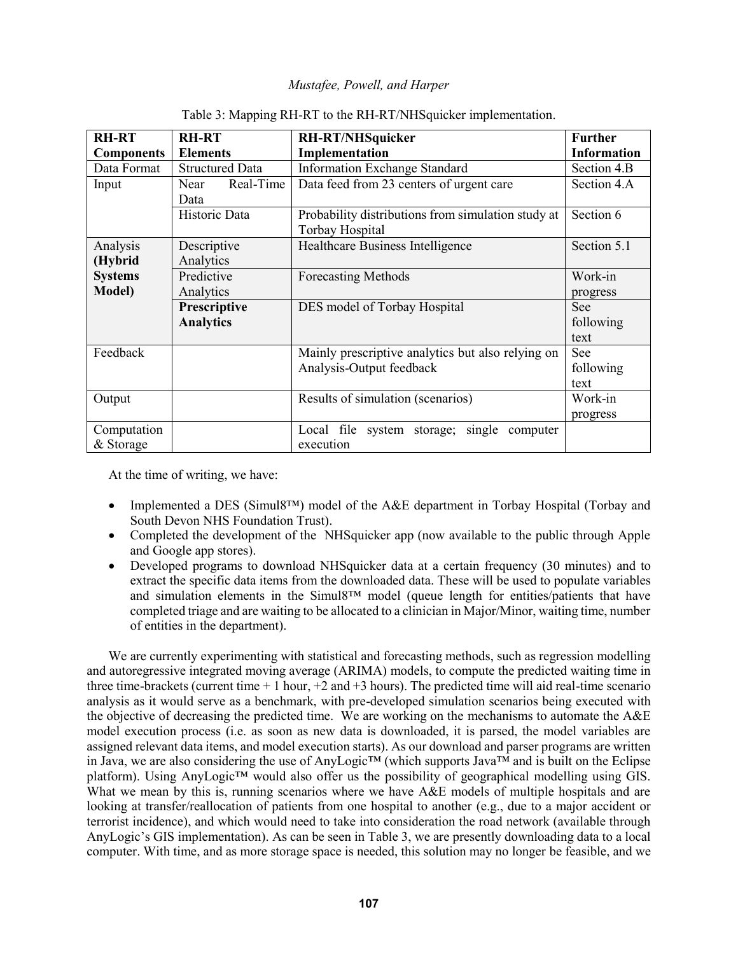| <b>RH-RT</b><br><b>Components</b> | <b>RH-RT</b><br><b>Elements</b>  | <b>RH-RT/NHSquicker</b><br>Implementation                                     | <b>Further</b><br><b>Information</b> |
|-----------------------------------|----------------------------------|-------------------------------------------------------------------------------|--------------------------------------|
| Data Format                       | <b>Structured Data</b>           | <b>Information Exchange Standard</b>                                          | Section 4.B                          |
| Input                             | Real-Time<br>Near<br>Data        | Data feed from 23 centers of urgent care                                      | Section 4.A                          |
|                                   | Historic Data                    | Probability distributions from simulation study at<br>Torbay Hospital         | Section 6                            |
| Analysis<br>(Hybrid               | Descriptive<br>Analytics         | Healthcare Business Intelligence                                              | Section 5.1                          |
| <b>Systems</b>                    | Predictive                       | <b>Forecasting Methods</b>                                                    | Work-in                              |
| <b>Model</b> )                    | Analytics                        |                                                                               | progress                             |
|                                   | Prescriptive<br><b>Analytics</b> | DES model of Torbay Hospital                                                  | <b>See</b><br>following<br>text      |
| Feedback                          |                                  | Mainly prescriptive analytics but also relying on<br>Analysis-Output feedback | See<br>following<br>text             |
| Output                            |                                  | Results of simulation (scenarios)                                             | Work-in<br>progress                  |
| Computation<br>& Storage          |                                  | single<br>Local file system storage;<br>computer<br>execution                 |                                      |

#### Table 3: Mapping RH-RT to the RH-RT/NHSquicker implementation.

At the time of writing, we have:

- Implemented a DES (Simul8™) model of the A&E department in Torbay Hospital (Torbay and South Devon NHS Foundation Trust).
- Completed the development of the NHSquicker app (now available to the public through Apple and Google app stores).
- Developed programs to download NHSquicker data at a certain frequency (30 minutes) and to extract the specific data items from the downloaded data. These will be used to populate variables and simulation elements in the Simul8™ model (queue length for entities/patients that have completed triage and are waiting to be allocated to a clinician in Major/Minor, waiting time, number of entities in the department).

We are currently experimenting with statistical and forecasting methods, such as regression modelling and autoregressive integrated moving average (ARIMA) models, to compute the predicted waiting time in three time-brackets (current time  $+1$  hour,  $+2$  and  $+3$  hours). The predicted time will aid real-time scenario analysis as it would serve as a benchmark, with pre-developed simulation scenarios being executed with the objective of decreasing the predicted time. We are working on the mechanisms to automate the A&E model execution process (i.e. as soon as new data is downloaded, it is parsed, the model variables are assigned relevant data items, and model execution starts). As our download and parser programs are written in Java, we are also considering the use of AnyLogic™ (which supports Java™ and is built on the Eclipse platform). Using AnyLogic™ would also offer us the possibility of geographical modelling using GIS. What we mean by this is, running scenarios where we have A&E models of multiple hospitals and are looking at transfer/reallocation of patients from one hospital to another (e.g., due to a major accident or terrorist incidence), and which would need to take into consideration the road network (available through AnyLogic's GIS implementation). As can be seen in Table 3, we are presently downloading data to a local computer. With time, and as more storage space is needed, this solution may no longer be feasible, and we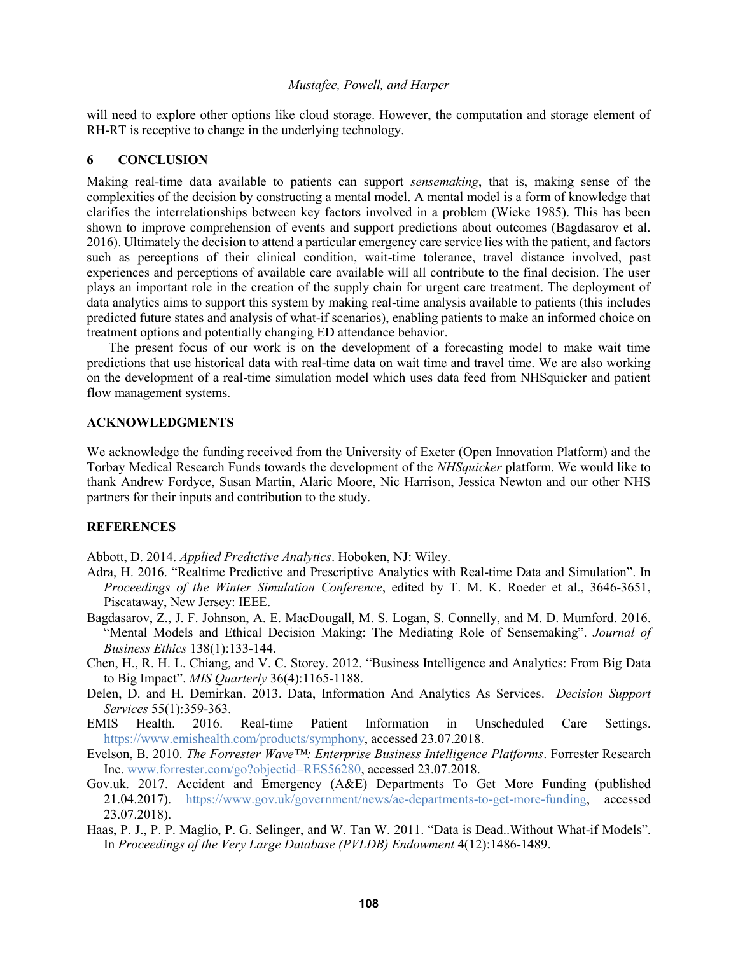will need to explore other options like cloud storage. However, the computation and storage element of RH-RT is receptive to change in the underlying technology.

#### **6 CONCLUSION**

Making real-time data available to patients can support *sensemaking*, that is, making sense of the complexities of the decision by constructing a mental model. A mental model is a form of knowledge that clarifies the interrelationships between key factors involved in a problem (Wieke 1985). This has been shown to improve comprehension of events and support predictions about outcomes (Bagdasarov et al. 2016). Ultimately the decision to attend a particular emergency care service lies with the patient, and factors such as perceptions of their clinical condition, wait-time tolerance, travel distance involved, past experiences and perceptions of available care available will all contribute to the final decision. The user plays an important role in the creation of the supply chain for urgent care treatment. The deployment of data analytics aims to support this system by making real-time analysis available to patients (this includes predicted future states and analysis of what-if scenarios), enabling patients to make an informed choice on treatment options and potentially changing ED attendance behavior.

The present focus of our work is on the development of a forecasting model to make wait time predictions that use historical data with real-time data on wait time and travel time. We are also working on the development of a real-time simulation model which uses data feed from NHSquicker and patient flow management systems.

### **ACKNOWLEDGMENTS**

We acknowledge the funding received from the University of Exeter (Open Innovation Platform) and the Torbay Medical Research Funds towards the development of the *NHSquicker* platform. We would like to thank Andrew Fordyce, Susan Martin, Alaric Moore, Nic Harrison, Jessica Newton and our other NHS partners for their inputs and contribution to the study.

### **REFERENCES**

Abbott, D. 2014. *Applied Predictive Analytics*. Hoboken, NJ: Wiley.

- Adra, H. 2016. "Realtime Predictive and Prescriptive Analytics with Real-time Data and Simulation". In *Proceedings of the Winter Simulation Conference*, edited by T. M. K. Roeder et al., 3646-3651, Piscataway, New Jersey: IEEE.
- Bagdasarov, Z., J. F. Johnson, A. E. MacDougall, M. S. Logan, S. Connelly, and M. D. Mumford. 2016. "Mental Models and Ethical Decision Making: The Mediating Role of Sensemaking". *Journal of Business Ethics* 138(1):133-144.
- Chen, H., R. H. L. Chiang, and V. C. Storey. 2012. "Business Intelligence and Analytics: From Big Data to Big Impact". *MIS Quarterly* 36(4):1165-1188.
- Delen, D. and H. Demirkan. 2013. Data, Information And Analytics As Services. *Decision Support Services* 55(1):359-363.
- EMIS Health. 2016. Real-time Patient Information in Unscheduled Care Settings. https://www.emishealth.com/products/symphony, accessed 23.07.2018.
- Evelson, B. 2010. *The Forrester Wave™: Enterprise Business Intelligence Platforms*. Forrester Research Inc. www.forrester.com/go?objectid=RES56280, accessed 23.07.2018.
- Gov.uk. 2017. Accident and Emergency (A&E) Departments To Get More Funding (published 21.04.2017). https://www.gov.uk/government/news/ae-departments-to-get-more-funding, accessed 23.07.2018).
- Haas, P. J., P. P. Maglio, P. G. Selinger, and W. Tan W. 2011. "Data is Dead..Without What-if Models". In *Proceedings of the Very Large Database (PVLDB) Endowment* 4(12):1486-1489.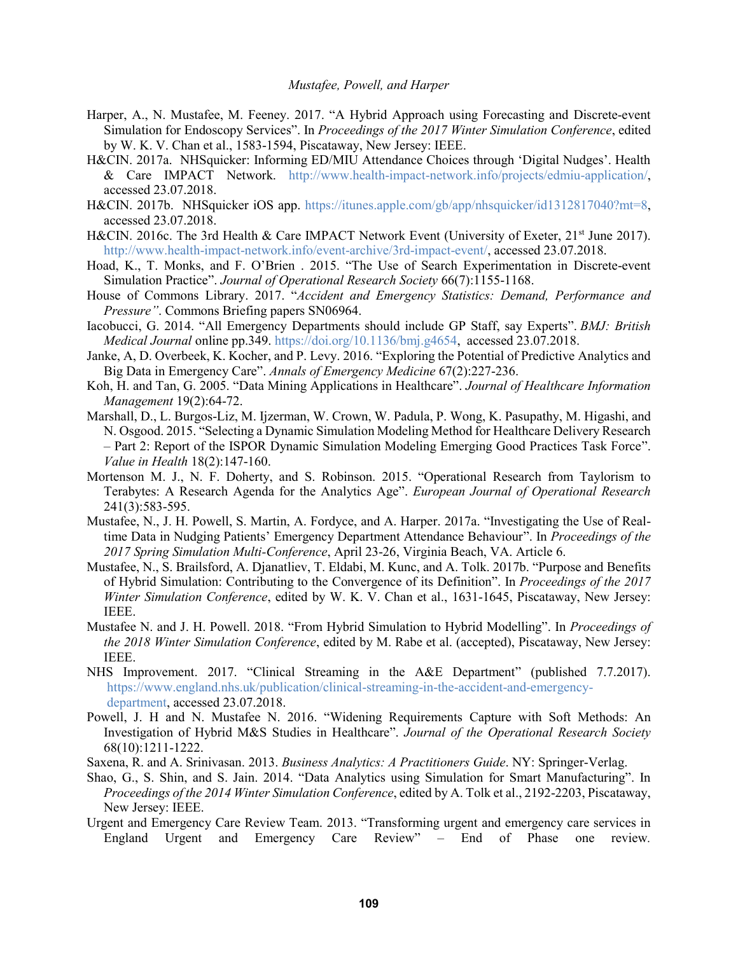- Harper, A., N. Mustafee, M. Feeney. 2017. "A Hybrid Approach using Forecasting and Discrete-event Simulation for Endoscopy Services". In *Proceedings of the 2017 Winter Simulation Conference*, edited by W. K. V. Chan et al., 1583-1594, Piscataway, New Jersey: IEEE.
- H&CIN. 2017a. NHSquicker: Informing ED/MIU Attendance Choices through 'Digital Nudges'. Health & Care IMPACT Network. http://www.health-impact-network.info/projects/edmiu-application/, accessed 23.07.2018.
- H&CIN. 2017b. NHSquicker iOS app. https://itunes.apple.com/gb/app/nhsquicker/id1312817040?mt=8, accessed 23.07.2018.
- H&CIN. 2016c. The 3rd Health & Care IMPACT Network Event (University of Exeter, 21<sup>st</sup> June 2017). http://www.health-impact-network.info/event-archive/3rd-impact-event/, accessed 23.07.2018.
- Hoad, K., T. Monks, and F. O'Brien . 2015. "The Use of Search Experimentation in Discrete-event Simulation Practice". *Journal of Operational Research Society* 66(7):1155-1168.
- House of Commons Library. 2017. "*Accident and Emergency Statistics: Demand, Performance and Pressure"*. Commons Briefing papers SN06964.
- Iacobucci, G. 2014. "All Emergency Departments should include GP Staff, say Experts". *BMJ: British Medical Journal* online pp.349. https://doi.org/10.1136/bmj.g4654, accessed 23.07.2018.
- Janke, A, D. Overbeek, K. Kocher, and P. Levy. 2016. "Exploring the Potential of Predictive Analytics and Big Data in Emergency Care". *Annals of Emergency Medicine* 67(2):227-236.
- Koh, H. and Tan, G. 2005. "Data Mining Applications in Healthcare". *Journal of Healthcare Information Management* 19(2):64-72.
- Marshall, D., L. Burgos-Liz, M. Ijzerman, W. Crown, W. Padula, P. Wong, K. Pasupathy, M. Higashi, and N. Osgood. 2015. "Selecting a Dynamic Simulation Modeling Method for Healthcare Delivery Research – Part 2: Report of the ISPOR Dynamic Simulation Modeling Emerging Good Practices Task Force". *Value in Health* 18(2):147-160.
- Mortenson M. J., N. F. Doherty, and S. Robinson. 2015. "Operational Research from Taylorism to Terabytes: A Research Agenda for the Analytics Age". *European Journal of Operational Research* 241(3):583-595.
- Mustafee, N., J. H. Powell, S. Martin, A. Fordyce, and A. Harper. 2017a. "Investigating the Use of Realtime Data in Nudging Patients' Emergency Department Attendance Behaviour". In *Proceedings of the 2017 Spring Simulation Multi-Conference*, April 23-26, Virginia Beach, VA. Article 6.
- Mustafee, N., S. Brailsford, A. Djanatliev, T. Eldabi, M. Kunc, and A. Tolk. 2017b. "Purpose and Benefits of Hybrid Simulation: Contributing to the Convergence of its Definition". In *Proceedings of the 2017 Winter Simulation Conference*, edited by W. K. V. Chan et al., 1631-1645, Piscataway, New Jersey: IEEE.
- Mustafee N. and J. H. Powell. 2018. "From Hybrid Simulation to Hybrid Modelling". In *Proceedings of the 2018 Winter Simulation Conference*, edited by M. Rabe et al. (accepted), Piscataway, New Jersey: IEEE.
- NHS Improvement. 2017. "Clinical Streaming in the A&E Department" (published 7.7.2017). https://www.england.nhs.uk/publication/clinical-streaming-in-the-accident-and-emergencydepartment, accessed 23.07.2018.
- Powell, J. H and N. Mustafee N. 2016. "Widening Requirements Capture with Soft Methods: An Investigation of Hybrid M&S Studies in Healthcare". *Journal of the Operational Research Society*  68(10):1211-1222.
- Saxena, R. and A. Srinivasan. 2013. *Business Analytics: A Practitioners Guide*. NY: Springer-Verlag.
- Shao, G., S. Shin, and S. Jain. 2014. "Data Analytics using Simulation for Smart Manufacturing". In *Proceedings of the 2014 Winter Simulation Conference*, edited by A. Tolk et al., 2192-2203, Piscataway, New Jersey: IEEE.
- Urgent and Emergency Care Review Team. 2013. "Transforming urgent and emergency care services in England Urgent and Emergency Care Review" – End of Phase one review*.*